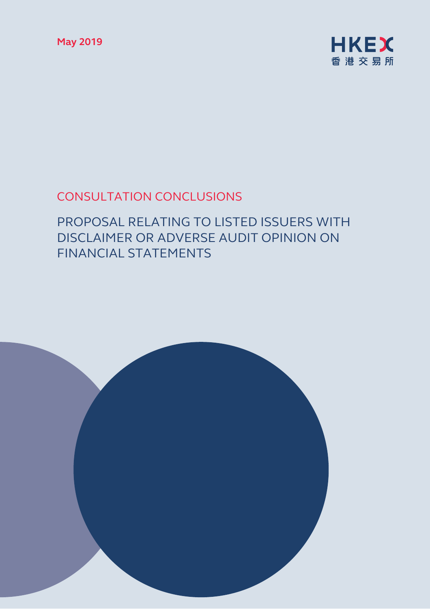**May 2019** 



# CONSULTATION CONCLUSIONS

# PROPOSAL RELATING TO LISTED ISSUERS WITH DISCLAIMER OR ADVERSE AUDIT OPINION ON FINANCIAL STATEMENTS

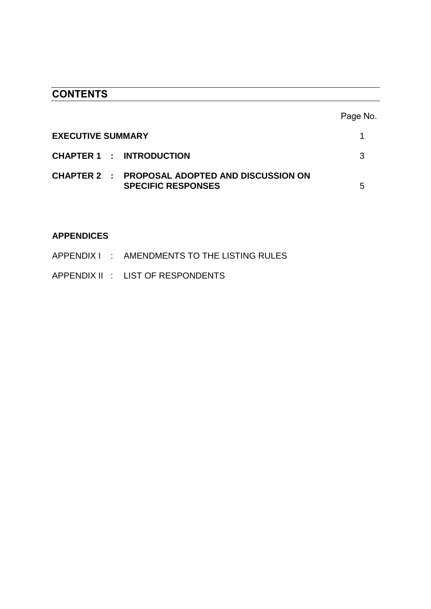# **CONTENTS**

|                                                                                    | Page No. |
|------------------------------------------------------------------------------------|----------|
| <b>EXECUTIVE SUMMARY</b>                                                           |          |
| <b>CHAPTER 1 : INTRODUCTION</b>                                                    | 3        |
| <b>CHAPTER 2 : PROPOSAL ADOPTED AND DISCUSSION ON</b><br><b>SPECIFIC RESPONSES</b> | 5        |

# **APPENDICES**

|  |  | APPENDIX I : AMENDMENTS TO THE LISTING RULES |
|--|--|----------------------------------------------|
|  |  |                                              |

APPENDIX II : LIST OF RESPONDENTS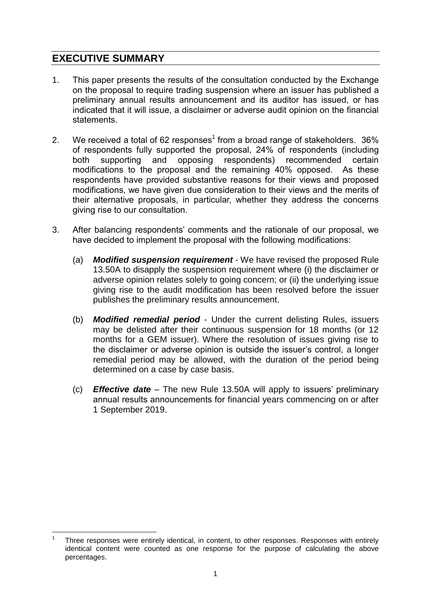# **EXECUTIVE SUMMARY**

- 1. This paper presents the results of the consultation conducted by the Exchange on the proposal to require trading suspension where an issuer has published a preliminary annual results announcement and its auditor has issued, or has indicated that it will issue, a disclaimer or adverse audit opinion on the financial statements.
- 2. We received a total of 62 responses<sup>1</sup> from a broad range of stakeholders.  $36\%$ of respondents fully supported the proposal, 24% of respondents (including both supporting and opposing respondents) recommended certain modifications to the proposal and the remaining 40% opposed. As these respondents have provided substantive reasons for their views and proposed modifications, we have given due consideration to their views and the merits of their alternative proposals, in particular, whether they address the concerns giving rise to our consultation.
- 3. After balancing respondents' comments and the rationale of our proposal, we have decided to implement the proposal with the following modifications:
	- (a) *Modified suspension requirement* We have revised the proposed Rule 13.50A to disapply the suspension requirement where (i) the disclaimer or adverse opinion relates solely to going concern; or (ii) the underlying issue giving rise to the audit modification has been resolved before the issuer publishes the preliminary results announcement.
	- (b) *Modified remedial period* Under the current delisting Rules, issuers may be delisted after their continuous suspension for 18 months (or 12 months for a GEM issuer). Where the resolution of issues giving rise to the disclaimer or adverse opinion is outside the issuer's control, a longer remedial period may be allowed, with the duration of the period being determined on a case by case basis.
	- (c) *Effective date* The new Rule 13.50A will apply to issuers' preliminary annual results announcements for financial years commencing on or after 1 September 2019.

<sup>&</sup>lt;u>.</u> 1 Three responses were entirely identical, in content, to other responses. Responses with entirely identical content were counted as one response for the purpose of calculating the above percentages.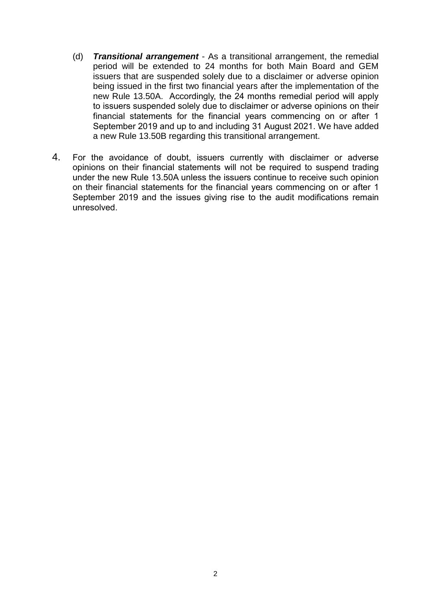- (d) *Transitional arrangement* As a transitional arrangement, the remedial period will be extended to 24 months for both Main Board and GEM issuers that are suspended solely due to a disclaimer or adverse opinion being issued in the first two financial years after the implementation of the new Rule 13.50A. Accordingly, the 24 months remedial period will apply to issuers suspended solely due to disclaimer or adverse opinions on their financial statements for the financial years commencing on or after 1 September 2019 and up to and including 31 August 2021. We have added a new Rule 13.50B regarding this transitional arrangement.
- 4. For the avoidance of doubt, issuers currently with disclaimer or adverse opinions on their financial statements will not be required to suspend trading under the new Rule 13.50A unless the issuers continue to receive such opinion on their financial statements for the financial years commencing on or after 1 September 2019 and the issues giving rise to the audit modifications remain unresolved.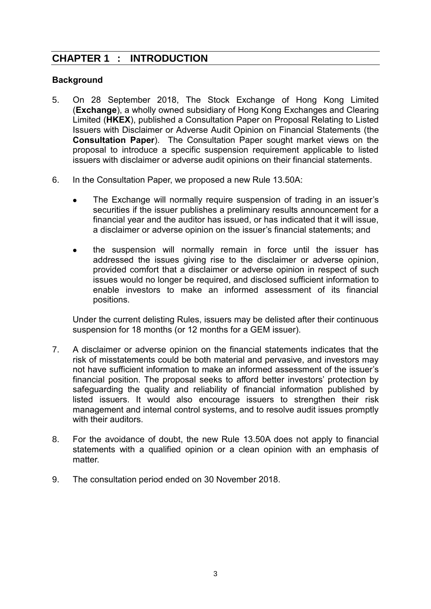# **CHAPTER 1 : INTRODUCTION**

#### **Background**

- 5. On 28 September 2018, The Stock Exchange of Hong Kong Limited (**Exchange**), a wholly owned subsidiary of Hong Kong Exchanges and Clearing Limited (**HKEX**), published a Consultation Paper on Proposal Relating to Listed Issuers with Disclaimer or Adverse Audit Opinion on Financial Statements (the **Consultation Paper**). The Consultation Paper sought market views on the proposal to introduce a specific suspension requirement applicable to listed issuers with disclaimer or adverse audit opinions on their financial statements.
- 6. In the Consultation Paper, we proposed a new Rule 13.50A:
	- The Exchange will normally require suspension of trading in an issuer's securities if the issuer publishes a preliminary results announcement for a financial year and the auditor has issued, or has indicated that it will issue, a disclaimer or adverse opinion on the issuer's financial statements; and
	- the suspension will normally remain in force until the issuer has addressed the issues giving rise to the disclaimer or adverse opinion, provided comfort that a disclaimer or adverse opinion in respect of such issues would no longer be required, and disclosed sufficient information to enable investors to make an informed assessment of its financial positions.

Under the current delisting Rules, issuers may be delisted after their continuous suspension for 18 months (or 12 months for a GEM issuer).

- 7. A disclaimer or adverse opinion on the financial statements indicates that the risk of misstatements could be both material and pervasive, and investors may not have sufficient information to make an informed assessment of the issuer's financial position. The proposal seeks to afford better investors' protection by safeguarding the quality and reliability of financial information published by listed issuers. It would also encourage issuers to strengthen their risk management and internal control systems, and to resolve audit issues promptly with their auditors.
- 8. For the avoidance of doubt, the new Rule 13.50A does not apply to financial statements with a qualified opinion or a clean opinion with an emphasis of matter.
- 9. The consultation period ended on 30 November 2018.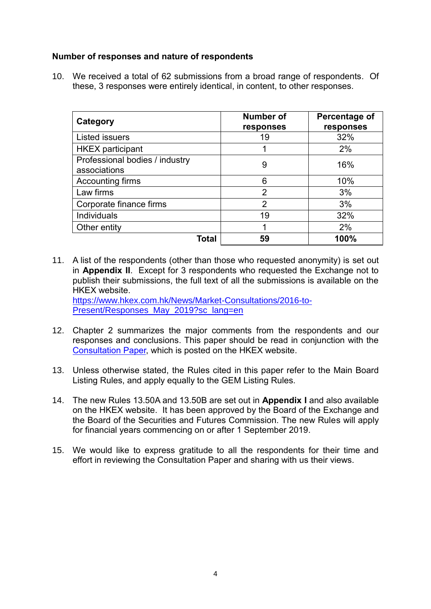#### **Number of responses and nature of respondents**

10. We received a total of 62 submissions from a broad range of respondents. Of these, 3 responses were entirely identical, in content, to other responses.

| Category                                       | <b>Number of</b><br>responses | Percentage of<br>responses |
|------------------------------------------------|-------------------------------|----------------------------|
| <b>Listed issuers</b>                          | 19                            | 32%                        |
| <b>HKEX</b> participant                        |                               | 2%                         |
| Professional bodies / industry<br>associations | 9                             | 16%                        |
| Accounting firms                               | 6                             | 10%                        |
| Law firms                                      | $\overline{2}$                | 3%                         |
| Corporate finance firms                        | $\overline{2}$                | 3%                         |
| Individuals                                    | 19                            | 32%                        |
| Other entity                                   |                               | 2%                         |
| Total                                          | 59                            | 100%                       |

- 11. A list of the respondents (other than those who requested anonymity) is set out in **Appendix II**. Except for 3 respondents who requested the Exchange not to publish their submissions, the full text of all the submissions is available on the HKEX website. [https://www.hkex.com.hk/News/Market-Consultations/2016-to-](https://www.hkex.com.hk/News/Market-Consultations/2016-to-Present/Responses_May_2019?sc_lang=en)[Present/Responses\\_May\\_2019?sc\\_lang=en](https://www.hkex.com.hk/News/Market-Consultations/2016-to-Present/Responses_May_2019?sc_lang=en)
- 12. Chapter 2 summarizes the major comments from the respondents and our responses and conclusions. This paper should be read in conjunction with the [Consultation Paper,](https://www.hkex.com.hk/-/media/HKEX-Market/News/Market-Consultations/2016-Present/September-2018-Adverse-Audit-Opinion/Consultation-Paper/cp201809.pdf) which is posted on the HKEX website.
- 13. Unless otherwise stated, the Rules cited in this paper refer to the Main Board Listing Rules, and apply equally to the GEM Listing Rules.
- 14. The new Rules 13.50A and 13.50B are set out in **Appendix I** and also available on the HKEX website. It has been approved by the Board of the Exchange and the Board of the Securities and Futures Commission. The new Rules will apply for financial years commencing on or after 1 September 2019.
- 15. We would like to express gratitude to all the respondents for their time and effort in reviewing the Consultation Paper and sharing with us their views.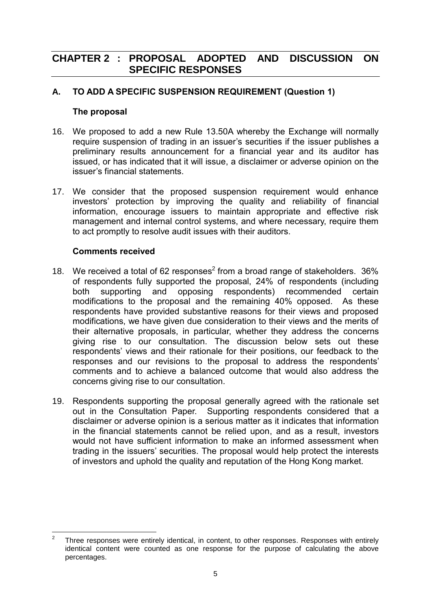# **CHAPTER 2 : PROPOSAL ADOPTED AND DISCUSSION ON SPECIFIC RESPONSES**

### **A. TO ADD A SPECIFIC SUSPENSION REQUIREMENT (Question 1)**

#### **The proposal**

- 16. We proposed to add a new Rule 13.50A whereby the Exchange will normally require suspension of trading in an issuer's securities if the issuer publishes a preliminary results announcement for a financial year and its auditor has issued, or has indicated that it will issue, a disclaimer or adverse opinion on the issuer's financial statements.
- 17. We consider that the proposed suspension requirement would enhance investors' protection by improving the quality and reliability of financial information, encourage issuers to maintain appropriate and effective risk management and internal control systems, and where necessary, require them to act promptly to resolve audit issues with their auditors.

#### **Comments received**

- 18. We received a total of 62 responses<sup>2</sup> from a broad range of stakeholders.  $36\%$ of respondents fully supported the proposal, 24% of respondents (including both supporting and opposing respondents) recommended certain modifications to the proposal and the remaining 40% opposed. As these respondents have provided substantive reasons for their views and proposed modifications, we have given due consideration to their views and the merits of their alternative proposals, in particular, whether they address the concerns giving rise to our consultation. The discussion below sets out these respondents' views and their rationale for their positions, our feedback to the responses and our revisions to the proposal to address the respondents' comments and to achieve a balanced outcome that would also address the concerns giving rise to our consultation.
- 19. Respondents supporting the proposal generally agreed with the rationale set out in the Consultation Paper. Supporting respondents considered that a disclaimer or adverse opinion is a serious matter as it indicates that information in the financial statements cannot be relied upon, and as a result, investors would not have sufficient information to make an informed assessment when trading in the issuers' securities. The proposal would help protect the interests of investors and uphold the quality and reputation of the Hong Kong market.

 $\frac{1}{2}$ Three responses were entirely identical, in content, to other responses. Responses with entirely identical content were counted as one response for the purpose of calculating the above percentages.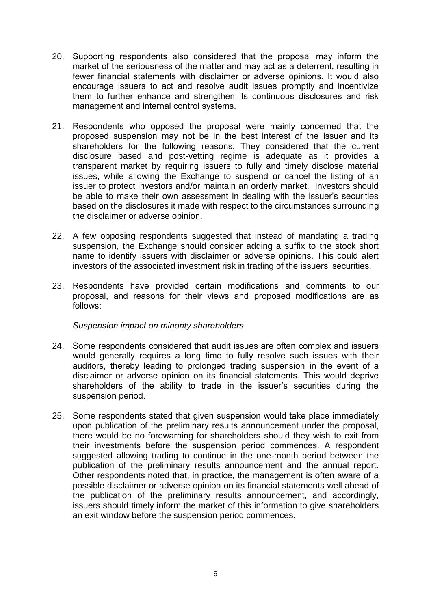- 20. Supporting respondents also considered that the proposal may inform the market of the seriousness of the matter and may act as a deterrent, resulting in fewer financial statements with disclaimer or adverse opinions. It would also encourage issuers to act and resolve audit issues promptly and incentivize them to further enhance and strengthen its continuous disclosures and risk management and internal control systems.
- 21. Respondents who opposed the proposal were mainly concerned that the proposed suspension may not be in the best interest of the issuer and its shareholders for the following reasons. They considered that the current disclosure based and post-vetting regime is adequate as it provides a transparent market by requiring issuers to fully and timely disclose material issues, while allowing the Exchange to suspend or cancel the listing of an issuer to protect investors and/or maintain an orderly market. Investors should be able to make their own assessment in dealing with the issuer's securities based on the disclosures it made with respect to the circumstances surrounding the disclaimer or adverse opinion.
- 22. A few opposing respondents suggested that instead of mandating a trading suspension, the Exchange should consider adding a suffix to the stock short name to identify issuers with disclaimer or adverse opinions. This could alert investors of the associated investment risk in trading of the issuers' securities.
- 23. Respondents have provided certain modifications and comments to our proposal, and reasons for their views and proposed modifications are as follows:

#### *Suspension impact on minority shareholders*

- 24. Some respondents considered that audit issues are often complex and issuers would generally requires a long time to fully resolve such issues with their auditors, thereby leading to prolonged trading suspension in the event of a disclaimer or adverse opinion on its financial statements. This would deprive shareholders of the ability to trade in the issuer's securities during the suspension period.
- 25. Some respondents stated that given suspension would take place immediately upon publication of the preliminary results announcement under the proposal, there would be no forewarning for shareholders should they wish to exit from their investments before the suspension period commences. A respondent suggested allowing trading to continue in the one-month period between the publication of the preliminary results announcement and the annual report. Other respondents noted that, in practice, the management is often aware of a possible disclaimer or adverse opinion on its financial statements well ahead of the publication of the preliminary results announcement, and accordingly, issuers should timely inform the market of this information to give shareholders an exit window before the suspension period commences.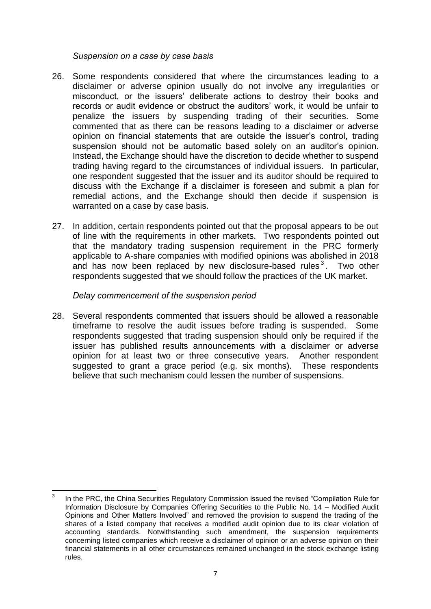*Suspension on a case by case basis*

- 26. Some respondents considered that where the circumstances leading to a disclaimer or adverse opinion usually do not involve any irregularities or misconduct, or the issuers' deliberate actions to destroy their books and records or audit evidence or obstruct the auditors' work, it would be unfair to penalize the issuers by suspending trading of their securities. Some commented that as there can be reasons leading to a disclaimer or adverse opinion on financial statements that are outside the issuer's control, trading suspension should not be automatic based solely on an auditor's opinion. Instead, the Exchange should have the discretion to decide whether to suspend trading having regard to the circumstances of individual issuers. In particular, one respondent suggested that the issuer and its auditor should be required to discuss with the Exchange if a disclaimer is foreseen and submit a plan for remedial actions, and the Exchange should then decide if suspension is warranted on a case by case basis.
- 27. In addition, certain respondents pointed out that the proposal appears to be out of line with the requirements in other markets. Two respondents pointed out that the mandatory trading suspension requirement in the PRC formerly applicable to A-share companies with modified opinions was abolished in 2018 and has now been replaced by new disclosure-based rules<sup>3</sup>. Two other respondents suggested that we should follow the practices of the UK market.

#### *Delay commencement of the suspension period*

28. Several respondents commented that issuers should be allowed a reasonable timeframe to resolve the audit issues before trading is suspended. Some respondents suggested that trading suspension should only be required if the issuer has published results announcements with a disclaimer or adverse opinion for at least two or three consecutive years. Another respondent suggested to grant a grace period (e.g. six months). These respondents believe that such mechanism could lessen the number of suspensions.

 $\frac{1}{3}$ In the PRC, the China Securities Regulatory Commission issued the revised "Compilation Rule for Information Disclosure by Companies Offering Securities to the Public No. 14 – Modified Audit Opinions and Other Matters Involved" and removed the provision to suspend the trading of the shares of a listed company that receives a modified audit opinion due to its clear violation of accounting standards. Notwithstanding such amendment, the suspension requirements concerning listed companies which receive a disclaimer of opinion or an adverse opinion on their financial statements in all other circumstances remained unchanged in the stock exchange listing rules.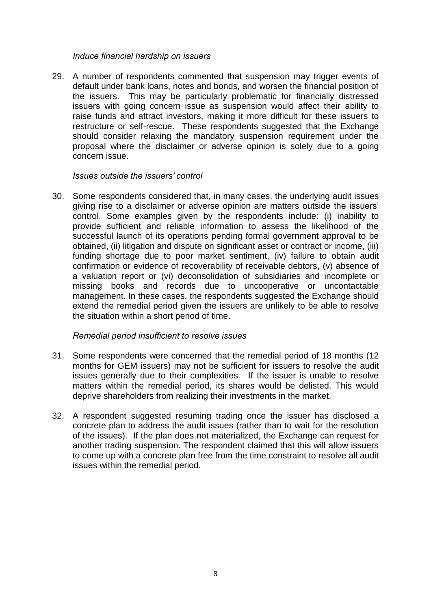#### *Induce financial hardship on issuers*

29. A number of respondents commented that suspension may trigger events of default under bank loans, notes and bonds, and worsen the financial position of the issuers. This may be particularly problematic for financially distressed issuers with going concern issue as suspension would affect their ability to raise funds and attract investors, making it more difficult for these issuers to restructure or self-rescue. These respondents suggested that the Exchange should consider relaxing the mandatory suspension requirement under the proposal where the disclaimer or adverse opinion is solely due to a going concern issue.

#### *Issues outside the issuers' control*

30. Some respondents considered that, in many cases, the underlying audit issues giving rise to a disclaimer or adverse opinion are matters outside the issuers' control. Some examples given by the respondents include: (i) inability to provide sufficient and reliable information to assess the likelihood of the successful launch of its operations pending formal government approval to be obtained, (ii) litigation and dispute on significant asset or contract or income, (iii) funding shortage due to poor market sentiment, (iv) failure to obtain audit confirmation or evidence of recoverability of receivable debtors, (v) absence of a valuation report or (vi) deconsolidation of subsidiaries and incomplete or missing books and records due to uncooperative or uncontactable management. In these cases, the respondents suggested the Exchange should extend the remedial period given the issuers are unlikely to be able to resolve the situation within a short period of time.

#### *Remedial period insufficient to resolve issues*

- 31. Some respondents were concerned that the remedial period of 18 months (12 months for GEM issuers) may not be sufficient for issuers to resolve the audit issues generally due to their complexities. If the issuer is unable to resolve matters within the remedial period, its shares would be delisted. This would deprive shareholders from realizing their investments in the market.
- 32. A respondent suggested resuming trading once the issuer has disclosed a concrete plan to address the audit issues (rather than to wait for the resolution of the issues). If the plan does not materialized, the Exchange can request for another trading suspension. The respondent claimed that this will allow issuers to come up with a concrete plan free from the time constraint to resolve all audit issues within the remedial period.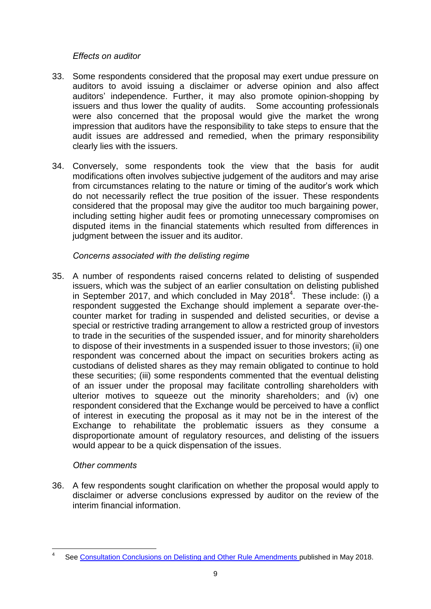#### *Effects on auditor*

- 33. Some respondents considered that the proposal may exert undue pressure on auditors to avoid issuing a disclaimer or adverse opinion and also affect auditors' independence. Further, it may also promote opinion-shopping by issuers and thus lower the quality of audits. Some accounting professionals were also concerned that the proposal would give the market the wrong impression that auditors have the responsibility to take steps to ensure that the audit issues are addressed and remedied, when the primary responsibility clearly lies with the issuers.
- 34. Conversely, some respondents took the view that the basis for audit modifications often involves subjective judgement of the auditors and may arise from circumstances relating to the nature or timing of the auditor's work which do not necessarily reflect the true position of the issuer. These respondents considered that the proposal may give the auditor too much bargaining power, including setting higher audit fees or promoting unnecessary compromises on disputed items in the financial statements which resulted from differences in judgment between the issuer and its auditor.

### *Concerns associated with the delisting regime*

35. A number of respondents raised concerns related to delisting of suspended issuers, which was the subject of an earlier consultation on delisting published in September 2017, and which concluded in May 2018<sup>4</sup>. These include: (i) a respondent suggested the Exchange should implement a separate over-thecounter market for trading in suspended and delisted securities, or devise a special or restrictive trading arrangement to allow a restricted group of investors to trade in the securities of the suspended issuer, and for minority shareholders to dispose of their investments in a suspended issuer to those investors; (ii) one respondent was concerned about the impact on securities brokers acting as custodians of delisted shares as they may remain obligated to continue to hold these securities; (iii) some respondents commented that the eventual delisting of an issuer under the proposal may facilitate controlling shareholders with ulterior motives to squeeze out the minority shareholders; and (iv) one respondent considered that the Exchange would be perceived to have a conflict of interest in executing the proposal as it may not be in the interest of the Exchange to rehabilitate the problematic issuers as they consume a disproportionate amount of regulatory resources, and delisting of the issuers would appear to be a quick dispensation of the issues.

### *Other comments*

1

36. A few respondents sought clarification on whether the proposal would apply to disclaimer or adverse conclusions expressed by auditor on the review of the interim financial information.

<sup>4</sup> See [Consultation Conclusions on Delisting and Other Rule Amendments p](https://www.hkex.com.hk/-/media/HKEX-Market/News/Market-Consultations/2016-Present/September-2017-Consultation-Paper-on-Delisting-and-Other-Rule-Amendments/Conclusions-(May-2018)/cp2017091cc.pdf)ublished in May 2018.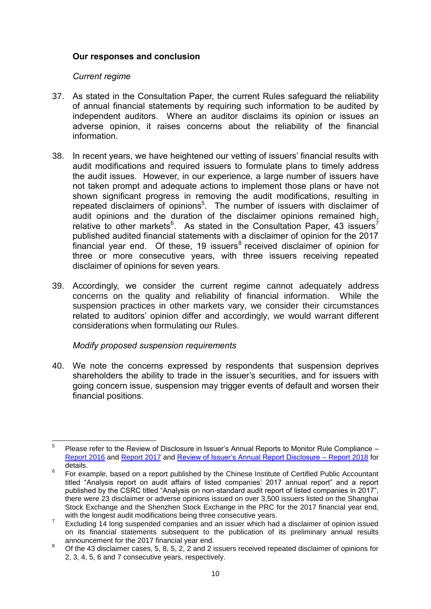#### **Our responses and conclusion**

#### *Current regime*

- 37. As stated in the Consultation Paper, the current Rules safeguard the reliability of annual financial statements by requiring such information to be audited by independent auditors. Where an auditor disclaims its opinion or issues an adverse opinion, it raises concerns about the reliability of the financial information.
- 38. In recent years, we have heightened our vetting of issuers' financial results with audit modifications and required issuers to formulate plans to timely address the audit issues. However, in our experience, a large number of issuers have not taken prompt and adequate actions to implement those plans or have not shown significant progress in removing the audit modifications, resulting in repeated disclaimers of opinions<sup>5</sup>. The number of issuers with disclaimer of audit opinions and the duration of the disclaimer opinions remained high, relative to other markets<sup>6</sup>. As stated in the Consultation Paper, 43 issuers<sup>7</sup> published audited financial statements with a disclaimer of opinion for the 2017 financial year end. Of these, 19 issuers<sup>8</sup> received disclaimer of opinion for three or more consecutive years, with three issuers receiving repeated disclaimer of opinions for seven years.
- 39. Accordingly, we consider the current regime cannot adequately address concerns on the quality and reliability of financial information. While the suspension practices in other markets vary, we consider their circumstances related to auditors' opinion differ and accordingly, we would warrant different considerations when formulating our Rules.

#### *Modify proposed suspension requirements*

40. We note the concerns expressed by respondents that suspension deprives shareholders the ability to trade in the issuer's securities, and for issuers with going concern issue, suspension may trigger events of default and worsen their financial positions.

 $\frac{1}{5}$ Please refer to the Review of Disclosure in Issuer's Annual Reports to Monitor Rule Compliance – [Report 2016](https://www.hkex.com.hk/-/media/HKEX-Market/Listing/Rules-and-Guidance/Other-Resources/Exchanges-Review-of-Issuers-Annual-Disclosure/rdiar-2016.pdf?la=en) and [Report 2017](https://www.hkex.com.hk/-/media/HKEX-Market/Listing/Rules-and-Guidance/Other-Resources/Exchanges-Review-of-Issuers-Annual-Disclosure/rdiar_2017.pdf?la=en) and [Review of Issuer's Annual Report Disclosure –](https://www.hkex.com.hk/-/media/HKEX-Market/Listing/Rules-and-Guidance/Other-Resources/Exchanges-Review-of-Issuers-Annual-Disclosure/rdiar_2018.pdf?la=en) Report 2018 for details.

<sup>6</sup> For example, based on a report published by the Chinese Institute of Certified Public Accountant titled "Analysis report on audit affairs of listed companies' 2017 annual report" and a report published by the CSRC titled "Analysis on non-standard audit report of listed companies in 2017", there were 23 disclaimer or adverse opinions issued on over 3,500 issuers listed on the Shanghai Stock Exchange and the Shenzhen Stock Exchange in the PRC for the 2017 financial year end, with the longest audit modifications being three consecutive years.

<sup>7</sup> Excluding 14 long suspended companies and an issuer which had a disclaimer of opinion issued on its financial statements subsequent to the publication of its preliminary annual results announcement for the 2017 financial year end.

Of the 43 disclaimer cases, 5, 8, 5, 2, 2 and 2 issuers received repeated disclaimer of opinions for 2, 3, 4, 5, 6 and 7 consecutive years, respectively.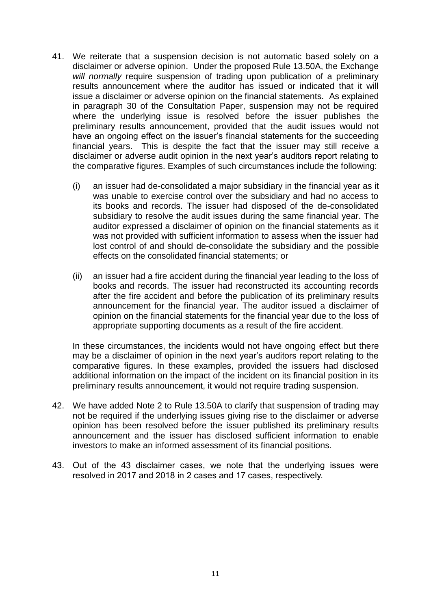- 41. We reiterate that a suspension decision is not automatic based solely on a disclaimer or adverse opinion. Under the proposed Rule 13.50A, the Exchange *will normally* require suspension of trading upon publication of a preliminary results announcement where the auditor has issued or indicated that it will issue a disclaimer or adverse opinion on the financial statements. As explained in paragraph 30 of the Consultation Paper, suspension may not be required where the underlying issue is resolved before the issuer publishes the preliminary results announcement, provided that the audit issues would not have an ongoing effect on the issuer's financial statements for the succeeding financial years. This is despite the fact that the issuer may still receive a disclaimer or adverse audit opinion in the next year's auditors report relating to the comparative figures. Examples of such circumstances include the following:
	- (i) an issuer had de-consolidated a major subsidiary in the financial year as it was unable to exercise control over the subsidiary and had no access to its books and records. The issuer had disposed of the de-consolidated subsidiary to resolve the audit issues during the same financial year. The auditor expressed a disclaimer of opinion on the financial statements as it was not provided with sufficient information to assess when the issuer had lost control of and should de-consolidate the subsidiary and the possible effects on the consolidated financial statements; or
	- (ii) an issuer had a fire accident during the financial year leading to the loss of books and records. The issuer had reconstructed its accounting records after the fire accident and before the publication of its preliminary results announcement for the financial year. The auditor issued a disclaimer of opinion on the financial statements for the financial year due to the loss of appropriate supporting documents as a result of the fire accident.

In these circumstances, the incidents would not have ongoing effect but there may be a disclaimer of opinion in the next year's auditors report relating to the comparative figures. In these examples, provided the issuers had disclosed additional information on the impact of the incident on its financial position in its preliminary results announcement, it would not require trading suspension.

- 42. We have added Note 2 to Rule 13.50A to clarify that suspension of trading may not be required if the underlying issues giving rise to the disclaimer or adverse opinion has been resolved before the issuer published its preliminary results announcement and the issuer has disclosed sufficient information to enable investors to make an informed assessment of its financial positions.
- 43. Out of the 43 disclaimer cases, we note that the underlying issues were resolved in 2017 and 2018 in 2 cases and 17 cases, respectively.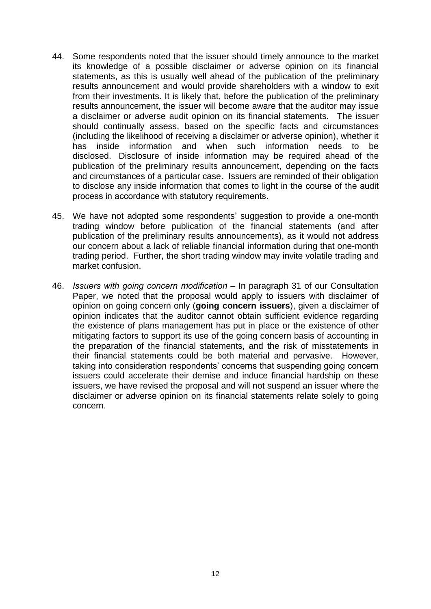- 44. Some respondents noted that the issuer should timely announce to the market its knowledge of a possible disclaimer or adverse opinion on its financial statements, as this is usually well ahead of the publication of the preliminary results announcement and would provide shareholders with a window to exit from their investments. It is likely that, before the publication of the preliminary results announcement, the issuer will become aware that the auditor may issue a disclaimer or adverse audit opinion on its financial statements. The issuer should continually assess, based on the specific facts and circumstances (including the likelihood of receiving a disclaimer or adverse opinion), whether it has inside information and when such information needs to be disclosed. Disclosure of inside information may be required ahead of the publication of the preliminary results announcement, depending on the facts and circumstances of a particular case. Issuers are reminded of their obligation to disclose any inside information that comes to light in the course of the audit process in accordance with statutory requirements.
- 45. We have not adopted some respondents' suggestion to provide a one-month trading window before publication of the financial statements (and after publication of the preliminary results announcements), as it would not address our concern about a lack of reliable financial information during that one-month trading period. Further, the short trading window may invite volatile trading and market confusion.
- 46. *Issuers with going concern modification* In paragraph 31 of our Consultation Paper, we noted that the proposal would apply to issuers with disclaimer of opinion on going concern only (**going concern issuers**), given a disclaimer of opinion indicates that the auditor cannot obtain sufficient evidence regarding the existence of plans management has put in place or the existence of other mitigating factors to support its use of the going concern basis of accounting in the preparation of the financial statements, and the risk of misstatements in their financial statements could be both material and pervasive. However, taking into consideration respondents' concerns that suspending going concern issuers could accelerate their demise and induce financial hardship on these issuers, we have revised the proposal and will not suspend an issuer where the disclaimer or adverse opinion on its financial statements relate solely to going concern.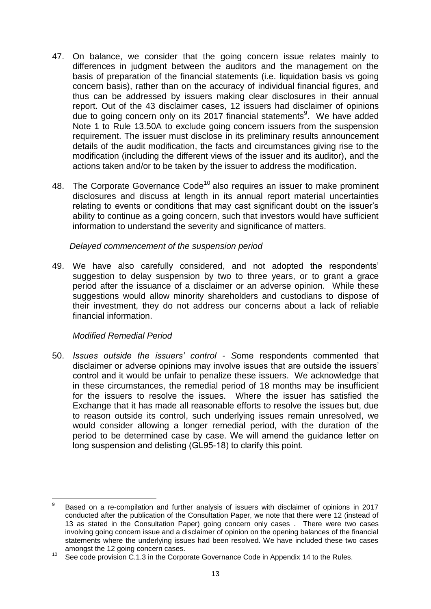- 47. On balance, we consider that the going concern issue relates mainly to differences in judgment between the auditors and the management on the basis of preparation of the financial statements (i.e. liquidation basis vs going concern basis), rather than on the accuracy of individual financial figures, and thus can be addressed by issuers making clear disclosures in their annual report. Out of the 43 disclaimer cases, 12 issuers had disclaimer of opinions due to going concern only on its 2017 financial statements<sup>9</sup>. We have added Note 1 to Rule 13.50A to exclude going concern issuers from the suspension requirement. The issuer must disclose in its preliminary results announcement details of the audit modification, the facts and circumstances giving rise to the modification (including the different views of the issuer and its auditor), and the actions taken and/or to be taken by the issuer to address the modification.
- 48. The Corporate Governance  $Code<sup>10</sup>$  also requires an issuer to make prominent disclosures and discuss at length in its annual report material uncertainties relating to events or conditions that may cast significant doubt on the issuer's ability to continue as a going concern, such that investors would have sufficient information to understand the severity and significance of matters.

#### *Delayed commencement of the suspension period*

49. We have also carefully considered, and not adopted the respondents' suggestion to delay suspension by two to three years, or to grant a grace period after the issuance of a disclaimer or an adverse opinion. While these suggestions would allow minority shareholders and custodians to dispose of their investment, they do not address our concerns about a lack of reliable financial information.

#### *Modified Remedial Period*

50. *Issues outside the issuers' control - S*ome respondents commented that disclaimer or adverse opinions may involve issues that are outside the issuers' control and it would be unfair to penalize these issuers. We acknowledge that in these circumstances, the remedial period of 18 months may be insufficient for the issuers to resolve the issues. Where the issuer has satisfied the Exchange that it has made all reasonable efforts to resolve the issues but, due to reason outside its control, such underlying issues remain unresolved, we would consider allowing a longer remedial period, with the duration of the period to be determined case by case. We will amend the guidance letter on long suspension and delisting (GL95-18) to clarify this point.

<sup>–&</sup>lt;br>9 Based on a re-compilation and further analysis of issuers with disclaimer of opinions in 2017 conducted after the publication of the Consultation Paper, we note that there were 12 (instead of 13 as stated in the Consultation Paper) going concern only cases . There were two cases involving going concern issue and a disclaimer of opinion on the opening balances of the financial statements where the underlying issues had been resolved. We have included these two cases amongst the 12 going concern cases.

<sup>&</sup>lt;sup>10</sup> See code provision C.1.3 in the Corporate Governance Code in Appendix 14 to the Rules.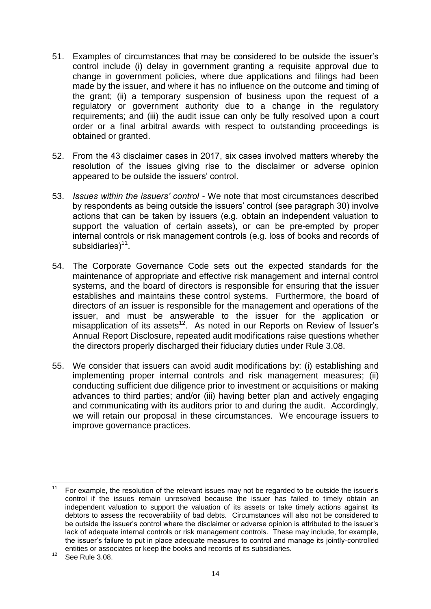- 51. Examples of circumstances that may be considered to be outside the issuer's control include (i) delay in government granting a requisite approval due to change in government policies, where due applications and filings had been made by the issuer, and where it has no influence on the outcome and timing of the grant; (ii) a temporary suspension of business upon the request of a regulatory or government authority due to a change in the regulatory requirements; and (iii) the audit issue can only be fully resolved upon a court order or a final arbitral awards with respect to outstanding proceedings is obtained or granted.
- 52. From the 43 disclaimer cases in 2017, six cases involved matters whereby the resolution of the issues giving rise to the disclaimer or adverse opinion appeared to be outside the issuers' control.
- 53. *Issues within the issuers' control* We note that most circumstances described by respondents as being outside the issuers' control (see paragraph 30) involve actions that can be taken by issuers (e.g. obtain an independent valuation to support the valuation of certain assets), or can be pre-empted by proper internal controls or risk management controls (e.g. loss of books and records of subsidiaries)<sup>11</sup>.
- 54. The Corporate Governance Code sets out the expected standards for the maintenance of appropriate and effective risk management and internal control systems, and the board of directors is responsible for ensuring that the issuer establishes and maintains these control systems. Furthermore, the board of directors of an issuer is responsible for the management and operations of the issuer, and must be answerable to the issuer for the application or misapplication of its assets<sup>12</sup>. As noted in our Reports on Review of Issuer's Annual Report Disclosure, repeated audit modifications raise questions whether the directors properly discharged their fiduciary duties under Rule 3.08.
- 55. We consider that issuers can avoid audit modifications by: (i) establishing and implementing proper internal controls and risk management measures; (ii) conducting sufficient due diligence prior to investment or acquisitions or making advances to third parties; and/or (iii) having better plan and actively engaging and communicating with its auditors prior to and during the audit. Accordingly, we will retain our proposal in these circumstances. We encourage issuers to improve governance practices.

 $11$ <sup>11</sup> For example, the resolution of the relevant issues may not be regarded to be outside the issuer's control if the issues remain unresolved because the issuer has failed to timely obtain an independent valuation to support the valuation of its assets or take timely actions against its debtors to assess the recoverability of bad debts. Circumstances will also not be considered to be outside the issuer's control where the disclaimer or adverse opinion is attributed to the issuer's lack of adequate internal controls or risk management controls. These may include, for example, the issuer's failure to put in place adequate measures to control and manage its jointly-controlled entities or associates or keep the books and records of its subsidiaries.

<sup>&</sup>lt;sup>12</sup> See Rule 3.08.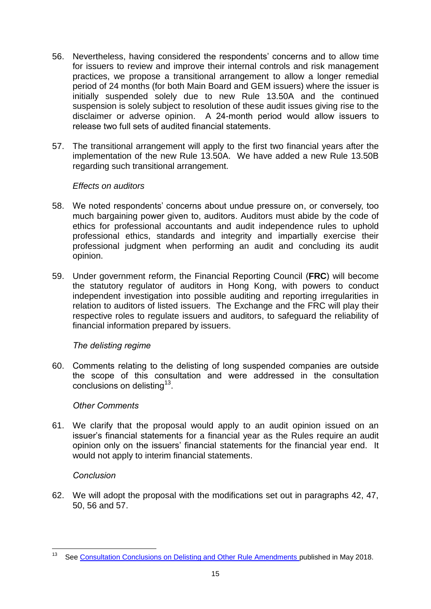- 56. Nevertheless, having considered the respondents' concerns and to allow time for issuers to review and improve their internal controls and risk management practices, we propose a transitional arrangement to allow a longer remedial period of 24 months (for both Main Board and GEM issuers) where the issuer is initially suspended solely due to new Rule 13.50A and the continued suspension is solely subject to resolution of these audit issues giving rise to the disclaimer or adverse opinion. A 24-month period would allow issuers to release two full sets of audited financial statements.
- 57. The transitional arrangement will apply to the first two financial years after the implementation of the new Rule 13.50A. We have added a new Rule 13.50B regarding such transitional arrangement.

#### *Effects on auditors*

- 58. We noted respondents' concerns about undue pressure on, or conversely, too much bargaining power given to, auditors. Auditors must abide by the code of ethics for professional accountants and audit independence rules to uphold professional ethics, standards and integrity and impartially exercise their professional judgment when performing an audit and concluding its audit opinion.
- 59. Under government reform, the Financial Reporting Council (**FRC**) will become the statutory regulator of auditors in Hong Kong, with powers to conduct independent investigation into possible auditing and reporting irregularities in relation to auditors of listed issuers. The Exchange and the FRC will play their respective roles to regulate issuers and auditors, to safeguard the reliability of financial information prepared by issuers.

#### *The delisting regime*

60. Comments relating to the delisting of long suspended companies are outside the scope of this consultation and were addressed in the consultation conclusions on delisting $^{13}$ .

#### *Other Comments*

61. We clarify that the proposal would apply to an audit opinion issued on an issuer's financial statements for a financial year as the Rules require an audit opinion only on the issuers' financial statements for the financial year end. It would not apply to interim financial statements.

#### *Conclusion*

62. We will adopt the proposal with the modifications set out in paragraphs 42, 47, 50, 56 and 57.

 $13$ <sup>13</sup> See [Consultation Conclusions on Delisting and Other Rule Amendments p](https://www.hkex.com.hk/-/media/HKEX-Market/News/Market-Consultations/2016-Present/September-2017-Consultation-Paper-on-Delisting-and-Other-Rule-Amendments/Conclusions-(May-2018)/cp2017091cc.pdf)ublished in May 2018.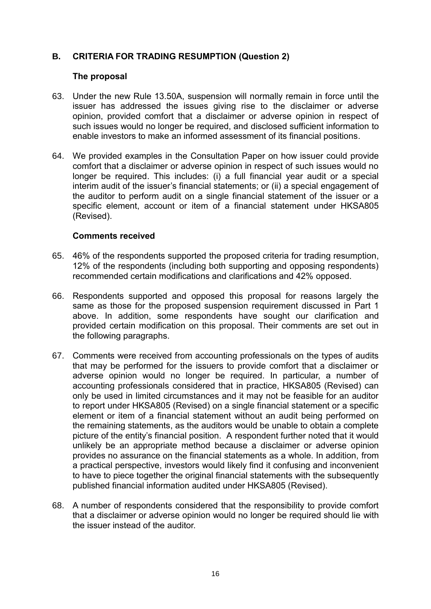### **B. CRITERIA FOR TRADING RESUMPTION (Question 2)**

#### **The proposal**

- 63. Under the new Rule 13.50A, suspension will normally remain in force until the issuer has addressed the issues giving rise to the disclaimer or adverse opinion, provided comfort that a disclaimer or adverse opinion in respect of such issues would no longer be required, and disclosed sufficient information to enable investors to make an informed assessment of its financial positions.
- 64. We provided examples in the Consultation Paper on how issuer could provide comfort that a disclaimer or adverse opinion in respect of such issues would no longer be required. This includes: (i) a full financial year audit or a special interim audit of the issuer's financial statements; or (ii) a special engagement of the auditor to perform audit on a single financial statement of the issuer or a specific element, account or item of a financial statement under HKSA805 (Revised).

#### **Comments received**

- 65. 46% of the respondents supported the proposed criteria for trading resumption, 12% of the respondents (including both supporting and opposing respondents) recommended certain modifications and clarifications and 42% opposed.
- 66. Respondents supported and opposed this proposal for reasons largely the same as those for the proposed suspension requirement discussed in Part 1 above. In addition, some respondents have sought our clarification and provided certain modification on this proposal. Their comments are set out in the following paragraphs.
- 67. Comments were received from accounting professionals on the types of audits that may be performed for the issuers to provide comfort that a disclaimer or adverse opinion would no longer be required. In particular, a number of accounting professionals considered that in practice, HKSA805 (Revised) can only be used in limited circumstances and it may not be feasible for an auditor to report under HKSA805 (Revised) on a single financial statement or a specific element or item of a financial statement without an audit being performed on the remaining statements, as the auditors would be unable to obtain a complete picture of the entity's financial position. A respondent further noted that it would unlikely be an appropriate method because a disclaimer or adverse opinion provides no assurance on the financial statements as a whole. In addition, from a practical perspective, investors would likely find it confusing and inconvenient to have to piece together the original financial statements with the subsequently published financial information audited under HKSA805 (Revised).
- 68. A number of respondents considered that the responsibility to provide comfort that a disclaimer or adverse opinion would no longer be required should lie with the issuer instead of the auditor.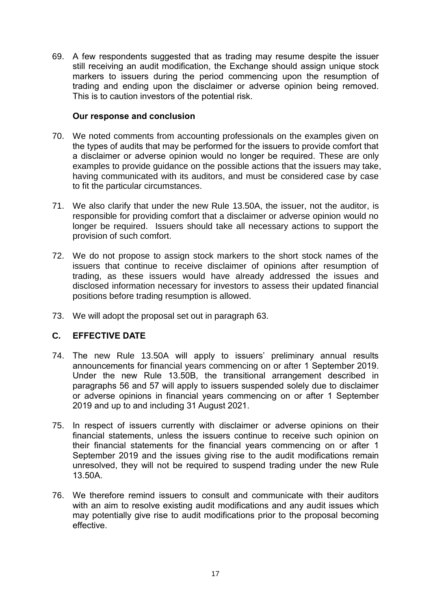69. A few respondents suggested that as trading may resume despite the issuer still receiving an audit modification, the Exchange should assign unique stock markers to issuers during the period commencing upon the resumption of trading and ending upon the disclaimer or adverse opinion being removed. This is to caution investors of the potential risk.

#### **Our response and conclusion**

- 70. We noted comments from accounting professionals on the examples given on the types of audits that may be performed for the issuers to provide comfort that a disclaimer or adverse opinion would no longer be required. These are only examples to provide guidance on the possible actions that the issuers may take, having communicated with its auditors, and must be considered case by case to fit the particular circumstances.
- 71. We also clarify that under the new Rule 13.50A, the issuer, not the auditor, is responsible for providing comfort that a disclaimer or adverse opinion would no longer be required. Issuers should take all necessary actions to support the provision of such comfort.
- 72. We do not propose to assign stock markers to the short stock names of the issuers that continue to receive disclaimer of opinions after resumption of trading, as these issuers would have already addressed the issues and disclosed information necessary for investors to assess their updated financial positions before trading resumption is allowed.
- 73. We will adopt the proposal set out in paragraph 63.

### **C. EFFECTIVE DATE**

- 74. The new Rule 13.50A will apply to issuers' preliminary annual results announcements for financial years commencing on or after 1 September 2019. Under the new Rule 13.50B, the transitional arrangement described in paragraphs 56 and 57 will apply to issuers suspended solely due to disclaimer or adverse opinions in financial years commencing on or after 1 September 2019 and up to and including 31 August 2021.
- 75. In respect of issuers currently with disclaimer or adverse opinions on their financial statements, unless the issuers continue to receive such opinion on their financial statements for the financial years commencing on or after 1 September 2019 and the issues giving rise to the audit modifications remain unresolved, they will not be required to suspend trading under the new Rule 13.50A.
- 76. We therefore remind issuers to consult and communicate with their auditors with an aim to resolve existing audit modifications and any audit issues which may potentially give rise to audit modifications prior to the proposal becoming effective.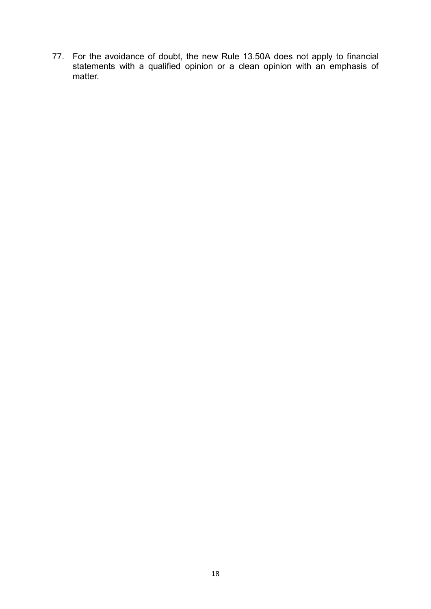77. For the avoidance of doubt, the new Rule 13.50A does not apply to financial statements with a qualified opinion or a clean opinion with an emphasis of matter.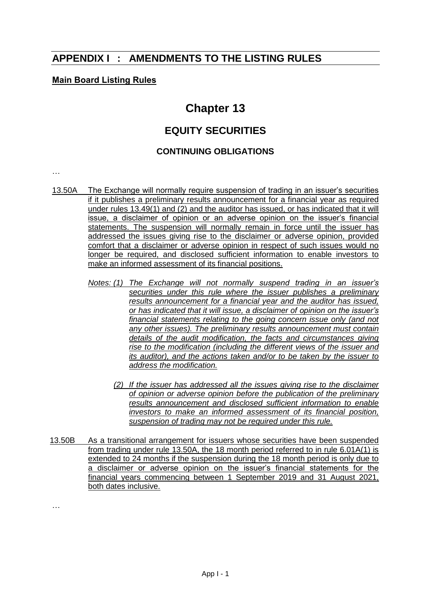# **APPENDIX I : AMENDMENTS TO THE LISTING RULES**

#### **Main Board Listing Rules**

# **Chapter 13**

# **EQUITY SECURITIES**

#### **CONTINUING OBLIGATIONS**

…

- 13.50A The Exchange will normally require suspension of trading in an issuer's securities if it publishes a preliminary results announcement for a financial year as required under rules 13.49(1) and (2) and the auditor has issued, or has indicated that it will issue, a disclaimer of opinion or an adverse opinion on the issuer's financial statements. The suspension will normally remain in force until the issuer has addressed the issues giving rise to the disclaimer or adverse opinion, provided comfort that a disclaimer or adverse opinion in respect of such issues would no longer be required, and disclosed sufficient information to enable investors to make an informed assessment of its financial positions.
	- *Notes: (1) The Exchange will not normally suspend trading in an issuer's securities under this rule where the issuer publishes a preliminary results announcement for a financial year and the auditor has issued, or has indicated that it will issue, a disclaimer of opinion on the issuer's financial statements relating to the going concern issue only (and not any other issues). The preliminary results announcement must contain details of the audit modification, the facts and circumstances giving rise to the modification (including the different views of the issuer and its auditor), and the actions taken and/or to be taken by the issuer to address the modification.*
		- *(2) If the issuer has addressed all the issues giving rise to the disclaimer of opinion or adverse opinion before the publication of the preliminary results announcement and disclosed sufficient information to enable investors to make an informed assessment of its financial position, suspension of trading may not be required under this rule.*
- 13.50B As a transitional arrangement for issuers whose securities have been suspended from trading under rule 13.50A, the 18 month period referred to in rule 6.01A(1) is extended to 24 months if the suspension during the 18 month period is only due to a disclaimer or adverse opinion on the issuer's financial statements for the financial years commencing between 1 September 2019 and 31 August 2021, both dates inclusive.

…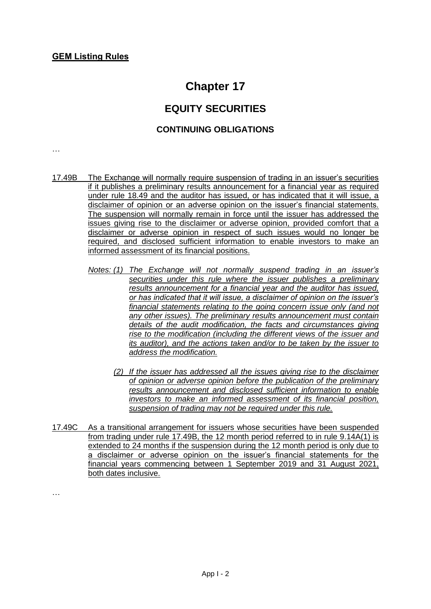# **Chapter 17**

# **EQUITY SECURITIES**

### **CONTINUING OBLIGATIONS**

…

…

- 17.49B The Exchange will normally require suspension of trading in an issuer's securities if it publishes a preliminary results announcement for a financial year as required under rule 18.49 and the auditor has issued, or has indicated that it will issue, a disclaimer of opinion or an adverse opinion on the issuer's financial statements. The suspension will normally remain in force until the issuer has addressed the issues giving rise to the disclaimer or adverse opinion, provided comfort that a disclaimer or adverse opinion in respect of such issues would no longer be required, and disclosed sufficient information to enable investors to make an informed assessment of its financial positions.
	- *Notes: (1) The Exchange will not normally suspend trading in an issuer's securities under this rule where the issuer publishes a preliminary results announcement for a financial year and the auditor has issued, or has indicated that it will issue, a disclaimer of opinion on the issuer's financial statements relating to the going concern issue only (and not any other issues). The preliminary results announcement must contain details of the audit modification, the facts and circumstances giving rise to the modification (including the different views of the issuer and its auditor), and the actions taken and/or to be taken by the issuer to address the modification.*
		- *(2) If the issuer has addressed all the issues giving rise to the disclaimer of opinion or adverse opinion before the publication of the preliminary results announcement and disclosed sufficient information to enable investors to make an informed assessment of its financial position, suspension of trading may not be required under this rule.*
- 17.49C As a transitional arrangement for issuers whose securities have been suspended from trading under rule 17.49B, the 12 month period referred to in rule 9.14A(1) is extended to 24 months if the suspension during the 12 month period is only due to a disclaimer or adverse opinion on the issuer's financial statements for the financial years commencing between 1 September 2019 and 31 August 2021, both dates inclusive.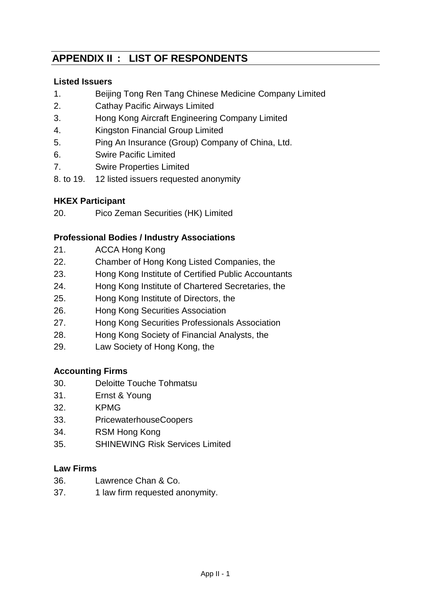# **APPENDIX II : LIST OF RESPONDENTS**

## **Listed Issuers**

- 1. Beijing Tong Ren Tang Chinese Medicine Company Limited
- 2. Cathay Pacific Airways Limited
- 3. Hong Kong Aircraft Engineering Company Limited
- 4. Kingston Financial Group Limited
- 5. Ping An Insurance (Group) Company of China, Ltd.
- 6. Swire Pacific Limited
- 7. Swire Properties Limited
- 8. to 19. 12 listed issuers requested anonymity

## **HKEX Participant**

20. Pico Zeman Securities (HK) Limited

# **Professional Bodies / Industry Associations**

- 21. ACCA Hong Kong
- 22. Chamber of Hong Kong Listed Companies, the
- 23. Hong Kong Institute of Certified Public Accountants
- 24. Hong Kong Institute of Chartered Secretaries, the
- 25. Hong Kong Institute of Directors, the
- 26. Hong Kong Securities Association
- 27. Hong Kong Securities Professionals Association
- 28. Hong Kong Society of Financial Analysts, the
- 29. Law Society of Hong Kong, the

# **Accounting Firms**

- 30. Deloitte Touche Tohmatsu
- 31. Ernst & Young
- 32. KPMG
- 33. PricewaterhouseCoopers
- 34. RSM Hong Kong
- 35. SHINEWING Risk Services Limited

### **Law Firms**

- 36. Lawrence Chan & Co.
- 37. 1 law firm requested anonymity.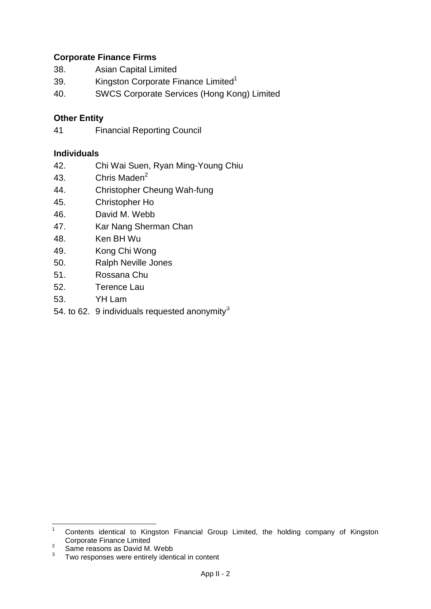## **Corporate Finance Firms**

- 38. Asian Capital Limited
- 39. Kingston Corporate Finance Limited<sup>1</sup>
- 40. SWCS Corporate Services (Hong Kong) Limited

## **Other Entity**

41 Financial Reporting Council

### **Individuals**

- 42. Chi Wai Suen, Ryan Ming-Young Chiu
- 43. Chris Maden<sup>2</sup>
- 44. Christopher Cheung Wah-fung
- 45. Christopher Ho
- 46. David M. Webb
- 47. Kar Nang Sherman Chan
- 48. Ken BH Wu
- 49. Kong Chi Wong
- 50. Ralph Neville Jones
- 51. Rossana Chu
- 52. Terence Lau
- 53. YH Lam
- 54. to 62. 9 individuals requested anonymity $3$

 $1$ <sup>1</sup> Contents identical to Kingston Financial Group Limited, the holding company of Kingston Corporate Finance Limited

<sup>2</sup> Same reasons as David M. Webb

<sup>3</sup> Two responses were entirely identical in content